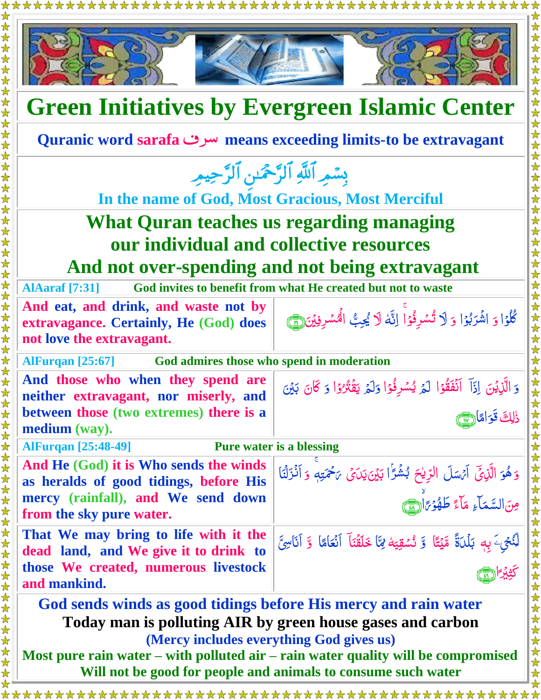\*\*\*\*\*\*\*\*



## **Green Initiatives by Evergreen Islamic Center**

**Quranic word sarafa** سرف **means exceeding limits-to be extravagant**

بِسْمِرِ اللَّهِ الرَّحْمَٰنِ الرَّحِيمِ

**In the name of God, Most Gracious, Most Merciful**

## **What Quran teaches us regarding managing our individual and collective resources And not over-spending and not being extravagant**

**AlAaraf [7:31] God invites to benefit from what He created but not to waste**

**And eat, and drink, and waste not by extravagance. Certainly, He (God) does not love the extravagant.**

ڭُلُوۡا وَ اشۡرَبُوۡا وَ لَا تُسۡوِفُوۡا اِنَّهٗ لَا يُحِبُّ الۡمُسۡوِيۡنَ(يُّنَّ) <u>أ</u> <u>رَ</u> ب <u>أ</u> <u>ُ</u> Ĩ ĺ į **شاع** Ï ∕ٌ<br>ا نَهُ ر<br>ا

ہ<br>گ ل

<u>ُ</u> <u>ُ</u>

نُسْقِيَةُ لِ<sup>ِ</sup>تَا خَلَقْنَآ آنْعَامًا ۚ وَّ آنَاسِيَّ

Ï

وَ الَّذِيْنَ اِذَآ اَنۡفَقُوۡا لَمۡ يُسۡوِفُوۡا وَلَمۡ يَقۡتُرُوۡا وَ كَانَ بَيۡنَ

وَ هُوَ الَّذِيْٓ اَيْسَلَ الرِّيْحَ بُشُرًٰا بَيْنَ يَدَىۡ يَخۡتَهٖ وَ اَنۡزَلۡنَا

ĺ <u>بہ</u>

Ĭ

<u>ز</u>

تألفها

پَه

<u>أ</u> <u>ُ</u> بہَ <u>ُ</u><br>ُ ُ<br>مُ

ِ<br>ٱ

ٰ رّ

Ï

<u>ُز</u>  $\overline{\mathcal{L}}$ <u>ت</u>

<u>أ</u>  $\frac{1}{2}$ 

> ل ֖֖֖֧֖֧֚֚֚֚֚֚֚֚֚֚֚֚֚֚֚֚֚֚֚֡֝<u>֚</u>

**مُ** 

ن<br>م

ً پر<br>پېر ِ<br>پُر

كثيرًا التي

Ĩ

ذٰلِكَ قَوَامًا اللَّهِ عَ

J<br>|

لِّنُحِيَ <mark>َ بِهٖ بَلۡلَۃً</mark> مَّیۡتًا وَّ نُسۡقِیَهٗ لَمَا<br>ا Ã

مِنَ|لسَّمَاءِ مَاءً طَهُوۡيَاْ

**AlFurqan [25:67] God admires those who spend in moderation**

**And those who when they spend are neither extravagant, nor miserly, and between those (two extremes) there is a medium (way).**

**AlFurqan [25:48-49] Pure water is a blessing**

**And He (God) it is Who sends the winds as heralds of good tidings, before His mercy (rainfall), and We send down from the sky pure water.**

**That We may bring to life with it the dead land, and We give it to drink to those We created, numerous livestock and mankind.** 

 **God sends winds as good tidings before His mercy and rain water Today man is polluting AIR by green house gases and carbon**

**(Mercy includes everything God gives us)**

**Most pure rain water – with polluted air – rain water quality will be compromised Will not be good for people and animals to consume such water**